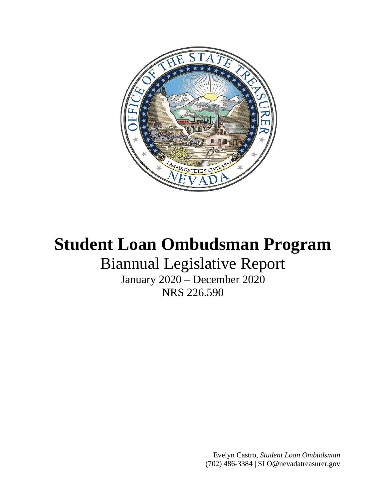

# **Student Loan Ombudsman Program**

## Biannual Legislative Report

January 2020 – December 2020 NRS 226.590

> Evelyn Castro, *Student Loan Ombudsman* [\(702\) 486-3384](mailto:(702)%20486-3384) | [SLO@nevadatreasurer.gov](mailto:SLO@nevadatreasurer.gov)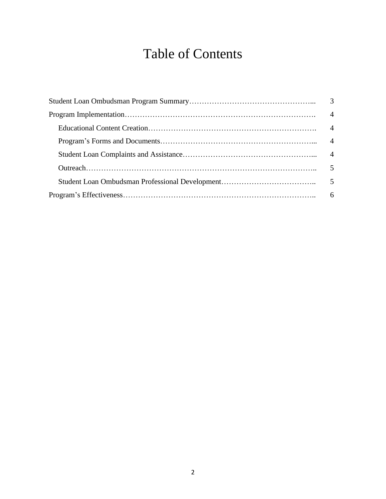## Table of Contents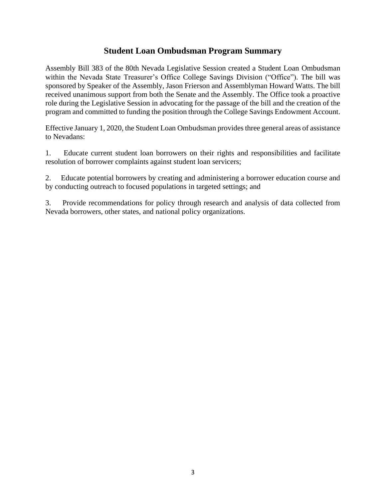#### **Student Loan Ombudsman Program Summary**

Assembly Bill 383 of the 80th Nevada Legislative Session created a Student Loan Ombudsman within the Nevada State Treasurer's Office College Savings Division ("Office"). The bill was sponsored by Speaker of the Assembly, Jason Frierson and Assemblyman Howard Watts. The bill received unanimous support from both the Senate and the Assembly. The Office took a proactive role during the Legislative Session in advocating for the passage of the bill and the creation of the program and committed to funding the position through the College Savings Endowment Account.

Effective January 1, 2020, the Student Loan Ombudsman provides three general areas of assistance to Nevadans:

1. Educate current student loan borrowers on their rights and responsibilities and facilitate resolution of borrower complaints against student loan servicers;

2. Educate potential borrowers by creating and administering a borrower education course and by conducting outreach to focused populations in targeted settings; and

3. Provide recommendations for policy through research and analysis of data collected from Nevada borrowers, other states, and national policy organizations.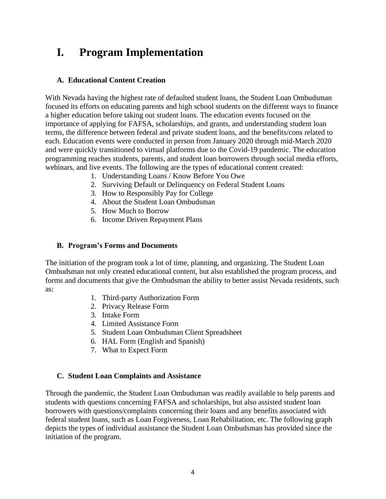### **I. Program Implementation**

#### **A. Educational Content Creation**

With Nevada having the highest rate of defaulted student loans, the Student Loan Ombudsman focused its efforts on educating parents and high school students on the different ways to finance a higher education before taking out student loans. The education events focused on the importance of applying for FAFSA, scholarships, and grants, and understanding student loan terms, the difference between federal and private student loans, and the benefits/cons related to each. Education events were conducted in person from January 2020 through mid-March 2020 and were quickly transitioned to virtual platforms due to the Covid-19 pandemic. The education programming reaches students, parents, and student loan borrowers through social media efforts, webinars, and live events. The following are the types of educational content created:

- 1. Understanding Loans / Know Before You Owe
- 2. Surviving Default or Delinquency on Federal Student Loans
- 3. How to Responsibly Pay for College
- 4. About the Student Loan Ombudsman
- 5. How Much to Borrow
- 6. Income Driven Repayment Plans

#### **B. Program's Forms and Documents**

The initiation of the program took a lot of time, planning, and organizing. The Student Loan Ombudsman not only created educational content, but also established the program process, and forms and documents that give the Ombudsman the ability to better assist Nevada residents, such as:

- 1. Third-party Authorization Form
- 2. Privacy Release Form
- 3. Intake Form
- 4. Limited Assistance Form
- 5. Student Loan Ombudsman Client Spreadsheet
- 6. HAL Form (English and Spanish)
- 7. What to Expect Form

#### **C. Student Loan Complaints and Assistance**

Through the pandemic, the Student Loan Ombudsman was readily available to help parents and students with questions concerning FAFSA and scholarships, but also assisted student loan borrowers with questions/complaints concerning their loans and any benefits associated with federal student loans, such as Loan Forgiveness, Loan Rehabilitation, etc. The following graph depicts the types of individual assistance the Student Loan Ombudsman has provided since the initiation of the program.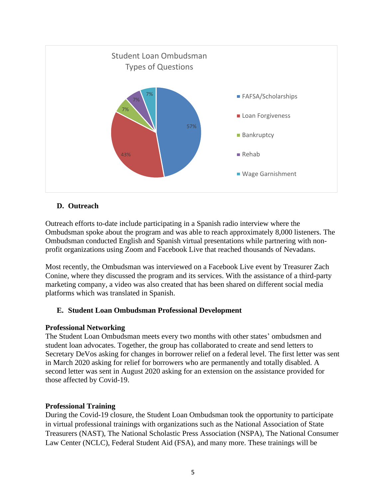

#### **D. Outreach**

Outreach efforts to-date include participating in a Spanish radio interview where the Ombudsman spoke about the program and was able to reach approximately 8,000 listeners. The Ombudsman conducted English and Spanish virtual presentations while partnering with nonprofit organizations using Zoom and Facebook Live that reached thousands of Nevadans.

Most recently, the Ombudsman was interviewed on a Facebook Live event by Treasurer Zach Conine, where they discussed the program and its services. With the assistance of a third-party marketing company, a video was also created that has been shared on different social media platforms which was translated in Spanish.

#### **E. Student Loan Ombudsman Professional Development**

#### **Professional Networking**

The Student Loan Ombudsman meets every two months with other states' ombudsmen and student loan advocates. Together, the group has collaborated to create and send letters to Secretary DeVos asking for changes in borrower relief on a federal level. The first letter was sent in March 2020 asking for relief for borrowers who are permanently and totally disabled. A second letter was sent in August 2020 asking for an extension on the assistance provided for those affected by Covid-19.

#### **Professional Training**

During the Covid-19 closure, the Student Loan Ombudsman took the opportunity to participate in virtual professional trainings with organizations such as the National Association of State Treasurers (NAST), The National Scholastic Press Association (NSPA), The National Consumer Law Center (NCLC), Federal Student Aid (FSA), and many more. These trainings will be